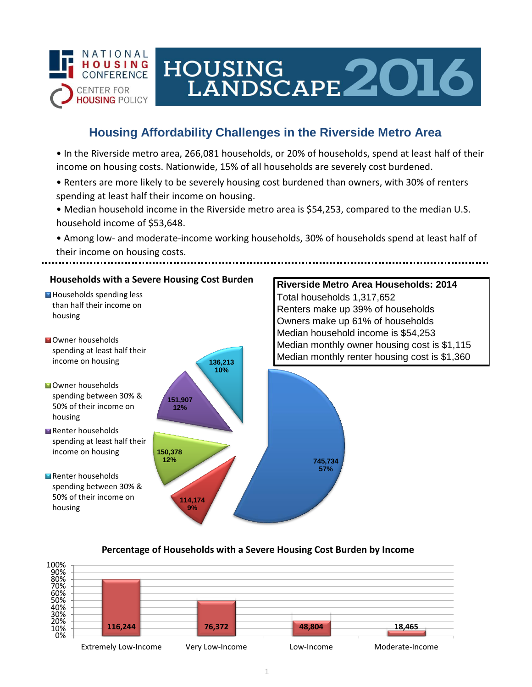

# HOUSING LANDSCAPE 2016

## **Housing Affordability Challenges in the Riverside Metro Area**

• In the Riverside metro area, 266,081 households, or 20% of households, spend at least half of their income on housing costs. Nationwide, 15% of all households are severely cost burdened.

- Renters are more likely to be severely housing cost burdened than owners, with 30% of renters spending at least half their income on housing.
- Median household income in the Riverside metro area is \$54,253, compared to the median U.S. household income of \$53,648.
- Among low- and moderate-income working households, 30% of households spend at least half of their income on housing costs.



### **Percentage of Households with a Severe Housing Cost Burden by Income**